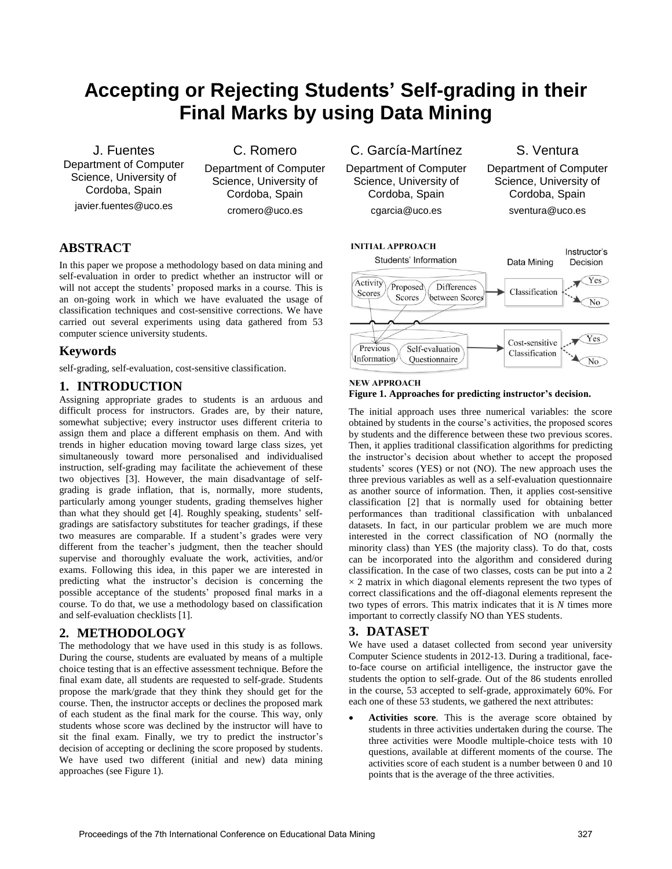# **Accepting or Rejecting Students' Self-grading in their Final Marks by using Data Mining**

J. Fuentes Department of Computer Science, University of Cordoba, Spain javier.fuentes@uco.es

C. Romero

Department of Computer Science, University of Cordoba, Spain cromero@uco.es

# **ABSTRACT**

In this paper we propose a methodology based on data mining and self-evaluation in order to predict whether an instructor will or will not accept the students' proposed marks in a course. This is an on-going work in which we have evaluated the usage of classification techniques and cost-sensitive corrections. We have carried out several experiments using data gathered from 53 computer science university students.

## **Keywords**

self-grading, self-evaluation, cost-sensitive classification.

## **1. INTRODUCTION**

Assigning appropriate grades to students is an arduous and difficult process for instructors. Grades are, by their nature, somewhat subjective; every instructor uses different criteria to assign them and place a different emphasis on them. And with trends in higher education moving toward large class sizes, yet simultaneously toward more personalised and individualised instruction, self-grading may facilitate the achievement of these two objectives [\[3\].](#page-1-0) However, the main disadvantage of selfgrading is grade inflation, that is, normally, more students, particularly among younger students, grading themselves higher than what they should get [\[4\].](#page-1-1) Roughly speaking, students' selfgradings are satisfactory substitutes for teacher gradings, if these two measures are comparable. If a student's grades were very different from the teacher's judgment, then the teacher should supervise and thoroughly evaluate the work, activities, and/or exams. Following this idea, in this paper we are interested in predicting what the instructor's decision is concerning the possible acceptance of the students' proposed final marks in a course. To do that, we use a methodology based on classification and self-evaluation checklist[s \[1\].](#page-1-2)

## **2. METHODOLOGY**

The methodology that we have used in this study is as follows. During the course, students are evaluated by means of a multiple choice testing that is an effective assessment technique. Before the final exam date, all students are requested to self-grade. Students propose the mark/grade that they think they should get for the course. Then, the instructor accepts or declines the proposed mark of each student as the final mark for the course. This way, only students whose score was declined by the instructor will have to sit the final exam. Finally, we try to predict the instructor's decision of accepting or declining the score proposed by students. We have used two different (initial and new) data mining approaches (see Figure 1).

C. García-Martínez

Department of Computer Science, University of Cordoba, Spain cgarcia@uco.es

S. Ventura

Department of Computer Science, University of Cordoba, Spain sventura@uco.es



#### **NEW APPROACH Figure 1. Approaches for predicting instructor's decision.**

The initial approach uses three numerical variables: the score obtained by students in the course's activities, the proposed scores by students and the difference between these two previous scores. Then, it applies traditional classification algorithms for predicting the instructor's decision about whether to accept the proposed students' scores (YES) or not (NO). The new approach uses the three previous variables as well as a self-evaluation questionnaire as another source of information. Then, it applies cost-sensitive classification [\[2\]](#page-1-3) that is normally used for obtaining better performances than traditional classification with unbalanced datasets. In fact, in our particular problem we are much more interested in the correct classification of NO (normally the minority class) than YES (the majority class). To do that, costs can be incorporated into the algorithm and considered during classification. In the case of two classes, costs can be put into a 2  $\times$  2 matrix in which diagonal elements represent the two types of correct classifications and the off-diagonal elements represent the two types of errors. This matrix indicates that it is *N* times more important to correctly classify NO than YES students.

#### **3. DATASET**

We have used a dataset collected from second year university Computer Science students in 2012-13. During a traditional, faceto-face course on artificial intelligence, the instructor gave the students the option to self-grade. Out of the 86 students enrolled in the course, 53 accepted to self-grade, approximately 60%. For each one of these 53 students, we gathered the next attributes:

 **Activities score**. This is the average score obtained by students in three activities undertaken during the course. The three activities were Moodle multiple-choice tests with 10 questions, available at different moments of the course. The activities score of each student is a number between 0 and 10 points that is the average of the three activities.